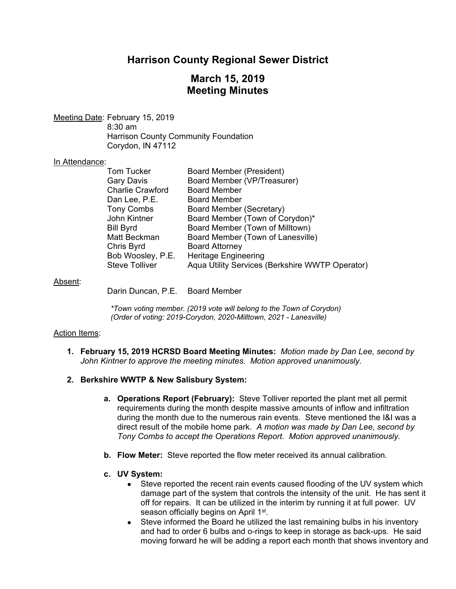# **Harrison County Regional Sewer District**

## **March 15, 2019 Meeting Minutes**

Meeting Date: February 15, 2019 8:30 am Harrison County Community Foundation Corydon, IN 47112

## In Attendance:

| <b>Board Member (President)</b>                 |
|-------------------------------------------------|
| Board Member (VP/Treasurer)                     |
| <b>Board Member</b>                             |
| <b>Board Member</b>                             |
| Board Member (Secretary)                        |
| Board Member (Town of Corydon)*                 |
| Board Member (Town of Milltown)                 |
| Board Member (Town of Lanesville)               |
| <b>Board Attorney</b>                           |
| <b>Heritage Engineering</b>                     |
| Aqua Utility Services (Berkshire WWTP Operator) |
|                                                 |

#### Absent:

Darin Duncan, P.E. Board Member

*\*Town voting member. (2019 vote will belong to the Town of Corydon) (Order of voting: 2019-Corydon, 2020-Milltown, 2021 - Lanesville)* 

## Action Items:

**1. February 15, 2019 HCRSD Board Meeting Minutes:** *Motion made by Dan Lee, second by John Kintner to approve the meeting minutes. Motion approved unanimously.*

## **2. Berkshire WWTP & New Salisbury System:**

- **a. Operations Report (February):** Steve Tolliver reported the plant met all permit requirements during the month despite massive amounts of inflow and infiltration during the month due to the numerous rain events. Steve mentioned the I&I was a direct result of the mobile home park. *A motion was made by Dan Lee, second by Tony Combs to accept the Operations Report. Motion approved unanimously.*
- **b. Flow Meter:** Steve reported the flow meter received its annual calibration.
- **c. UV System:** 
	- Steve reported the recent rain events caused flooding of the UV system which damage part of the system that controls the intensity of the unit. He has sent it off for repairs. It can be utilized in the interim by running it at full power. UV season officially begins on April 1<sup>st</sup>.
	- Steve informed the Board he utilized the last remaining bulbs in his inventory and had to order 6 bulbs and o-rings to keep in storage as back-ups. He said moving forward he will be adding a report each month that shows inventory and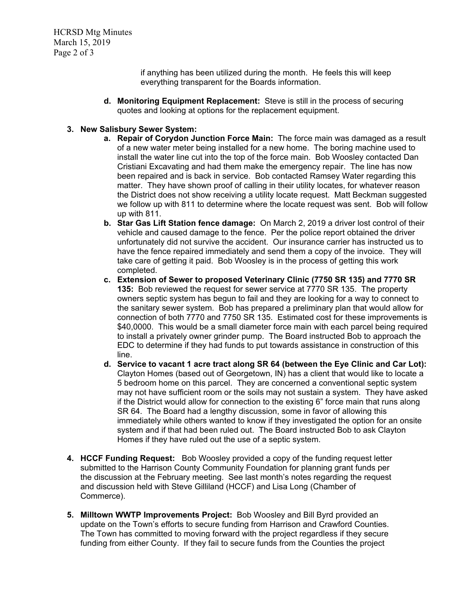if anything has been utilized during the month. He feels this will keep everything transparent for the Boards information.

**d. Monitoring Equipment Replacement:** Steve is still in the process of securing quotes and looking at options for the replacement equipment.

## **3. New Salisbury Sewer System:**

- **a. Repair of Corydon Junction Force Main:** The force main was damaged as a result of a new water meter being installed for a new home. The boring machine used to install the water line cut into the top of the force main. Bob Woosley contacted Dan Cristiani Excavating and had them make the emergency repair. The line has now been repaired and is back in service. Bob contacted Ramsey Water regarding this matter. They have shown proof of calling in their utility locates, for whatever reason the District does not show receiving a utility locate request. Matt Beckman suggested we follow up with 811 to determine where the locate request was sent. Bob will follow up with 811.
- **b. Star Gas Lift Station fence damage:** On March 2, 2019 a driver lost control of their vehicle and caused damage to the fence. Per the police report obtained the driver unfortunately did not survive the accident. Our insurance carrier has instructed us to have the fence repaired immediately and send them a copy of the invoice. They will take care of getting it paid. Bob Woosley is in the process of getting this work completed.
- **c. Extension of Sewer to proposed Veterinary Clinic (7750 SR 135) and 7770 SR 135:** Bob reviewed the request for sewer service at 7770 SR 135. The property owners septic system has begun to fail and they are looking for a way to connect to the sanitary sewer system. Bob has prepared a preliminary plan that would allow for connection of both 7770 and 7750 SR 135. Estimated cost for these improvements is \$40,0000. This would be a small diameter force main with each parcel being required to install a privately owner grinder pump. The Board instructed Bob to approach the EDC to determine if they had funds to put towards assistance in construction of this line.
- **d. Service to vacant 1 acre tract along SR 64 (between the Eye Clinic and Car Lot):**  Clayton Homes (based out of Georgetown, IN) has a client that would like to locate a 5 bedroom home on this parcel. They are concerned a conventional septic system may not have sufficient room or the soils may not sustain a system. They have asked if the District would allow for connection to the existing 6" force main that runs along SR 64. The Board had a lengthy discussion, some in favor of allowing this immediately while others wanted to know if they investigated the option for an onsite system and if that had been ruled out. The Board instructed Bob to ask Clayton Homes if they have ruled out the use of a septic system.
- **4. HCCF Funding Request:** Bob Woosley provided a copy of the funding request letter submitted to the Harrison County Community Foundation for planning grant funds per the discussion at the February meeting. See last month's notes regarding the request and discussion held with Steve Gilliland (HCCF) and Lisa Long (Chamber of Commerce).
- **5. Milltown WWTP Improvements Project:** Bob Woosley and Bill Byrd provided an update on the Town's efforts to secure funding from Harrison and Crawford Counties. The Town has committed to moving forward with the project regardless if they secure funding from either County. If they fail to secure funds from the Counties the project